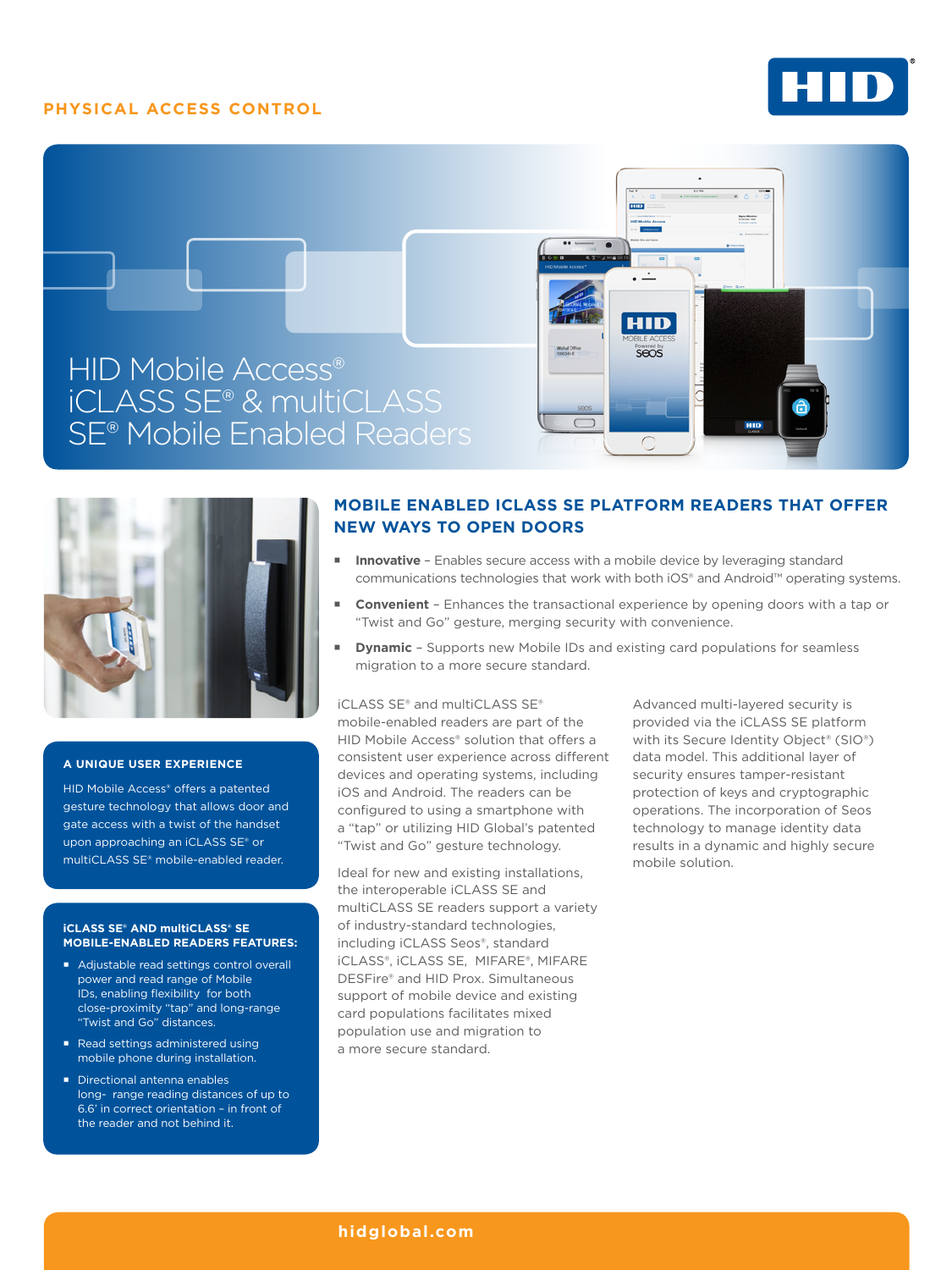## **PHYSICAL ACCESS CONTROL**







#### **A UNIQUE USER EXPERIENCE**

HID Mobile Access® offers a patented gesture technology that allows door and gate access with a twist of the handset upon approaching an iCLASS SE® or multiCLASS SE® mobile-enabled reader.

#### **iCLASS SE® AND multiCLASS® SE MOBILE-ENABLED READERS FEATURES:**

- Adjustable read settings control overall power and read range of Mobile IDs, enabling flexibility for both close-proximity "tap" and long-range "Twist and Go" distances.
- Read settings administered using mobile phone during installation.
- Directional antenna enables long- range reading distances of up to 6.6' in correct orientation – in front of the reader and not behind it.

# **MOBILE ENABLED ICLASS SE PLATFORM READERS THAT OFFER NEW WAYS TO OPEN DOORS**

- **Innovative -** Enables secure access with a mobile device by leveraging standard communications technologies that work with both iOS® and Android™ operating systems.
- **Convenient** Enhances the transactional experience by opening doors with a tap or "Twist and Go" gesture, merging security with convenience.
- **Dynamic** Supports new Mobile IDs and existing card populations for seamless migration to a more secure standard.

iCLASS SE® and multiCLASS SE® mobile-enabled readers are part of the HID Mobile Access® solution that offers a consistent user experience across different devices and operating systems, including iOS and Android. The readers can be configured to using a smartphone with a "tap" or utilizing HID Global's patented "Twist and Go" gesture technology.

Ideal for new and existing installations, the interoperable iCLASS SE and multiCLASS SE readers support a variety of industry-standard technologies, including iCLASS Seos®, standard iCLASS®, iCLASS SE, MIFARE®, MIFARE DESFire® and HID Prox. Simultaneous support of mobile device and existing card populations facilitates mixed population use and migration to a more secure standard.

Advanced multi-layered security is provided via the iCLASS SE platform with its Secure Identity Object® (SIO®) data model. This additional layer of security ensures tamper-resistant protection of keys and cryptographic operations. The incorporation of Seos technology to manage identity data results in a dynamic and highly secure mobile solution.